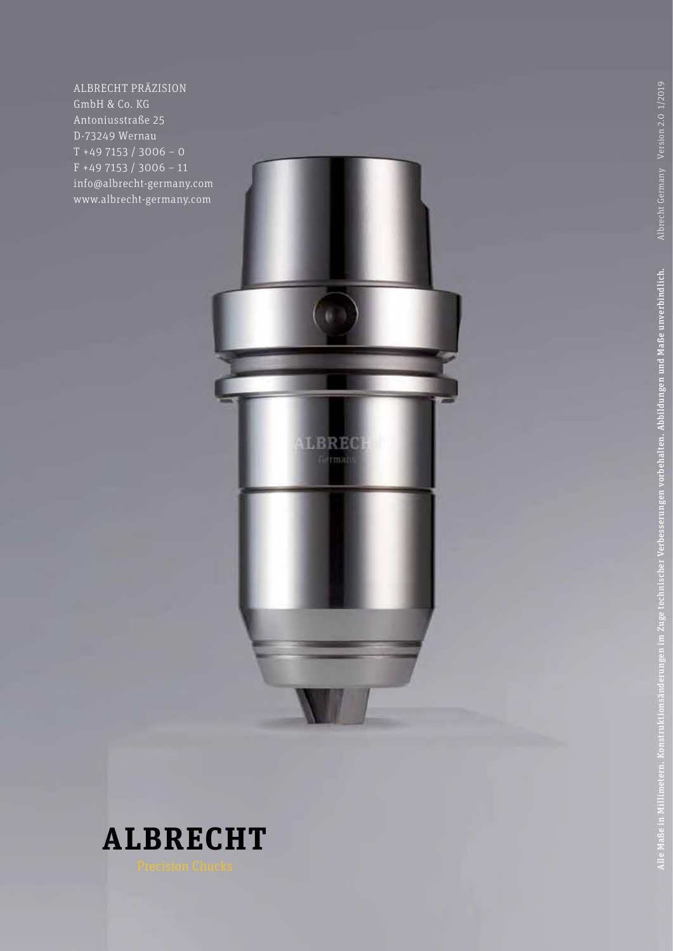ALBRECHT PRÄZISION GmbH & Co. KG Antoniusstraße 25 D-73249 Wernau T +49 7153 / 3006 – 0 F +49 7153 / 3006 – 11 info@albrecht-germany.com www.albrecht-germany.com

 $($ 

LBREC Germany

# **ALBRECHT**

Alle Maße in Millimetern. Konstruktionsänderungen im Zuge technischer Verbesserungen vorbehalten. Abbildungen und Maße unverbindlich. Albrecht Germany Version 2.0 1/2019

Alle Maße in Millimetern. Konstruktionsänderungen im Zuge technischer Verbesserungen vorbehalten. Abbildungen und Maße unverbindlich.

Albrecht Germany Version 2.0 1/2019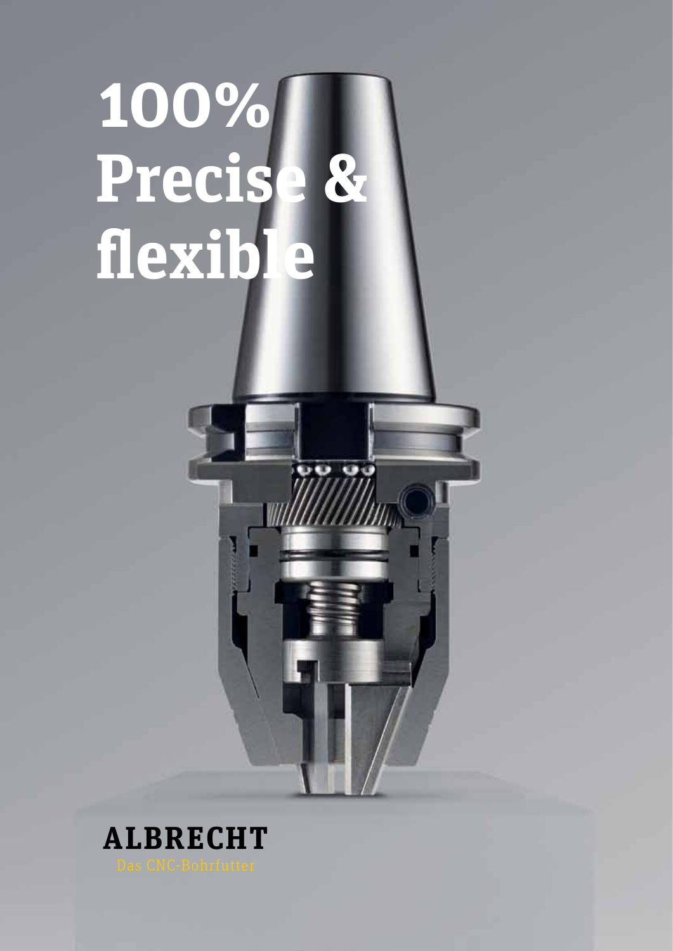# **100% Precise & flexible**



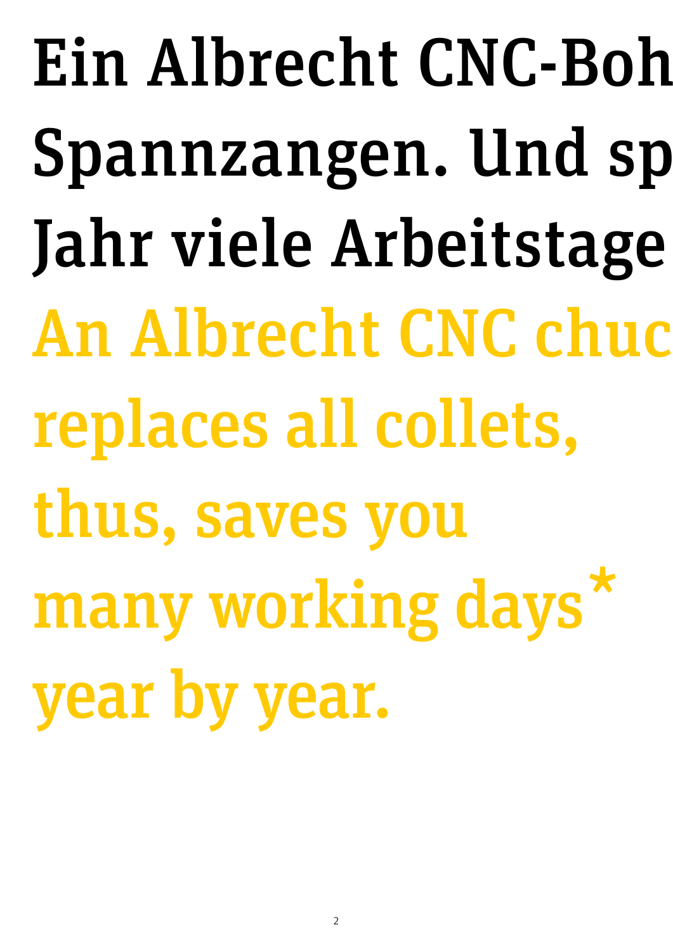Ein Albrecht CNC-Boh Spannzangen. Und sp Jahr viele Arbeitstage An Albrecht CNC chuck replaces all collets, thus, saves you many working days' year by year. \*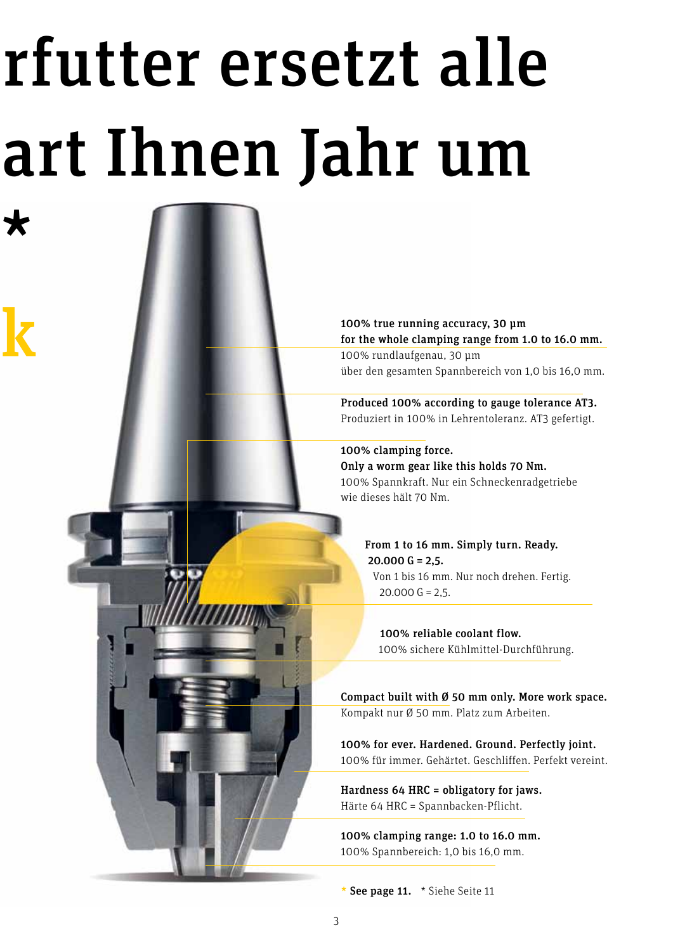# rfutter ersetzt alle art Ihnen Jahr um

\*

 ${\bf k}$ 

100% true running accuracy, 30 µm for the whole clamping range from 1.0 to 16.0 mm. 100% rundlaufgenau, 30 μm über den gesamten Spannbereich von 1,0 bis 16,0 mm.

Produced 100% according to gauge tolerance AT3. Produziert in 100% in Lehrentoleranz. AT3 gefertigt.

100% clamping force. Only a worm gear like this holds 70 Nm. 100% Spannkraft. Nur ein Schneckenradgetriebe wie dieses hält 70 Nm.

> From 1 to 16 mm. Simply turn. Ready.  $20.000$  G = 2,5. Von 1 bis 16 mm. Nur noch drehen. Fertig.  $20.000 G = 2.5.$

 100% reliable coolant flow. 100% sichere Kühlmittel-Durchführung.

Compact built with Ø 50 mm only. More work space. Kompakt nur Ø 50 mm. Platz zum Arbeiten.

100% for ever. Hardened. Ground. Perfectly joint. 100% für immer. Gehärtet. Geschliffen. Perfekt vereint.

Hardness 64 HRC = obligatory for jaws. Härte 64 HRC = Spannbacken-Pflicht.

100% clamping range: 1.0 to 16.0 mm. 100% Spannbereich: 1,0 bis 16,0 mm.

\* See page 11. \* Siehe Seite 11

Į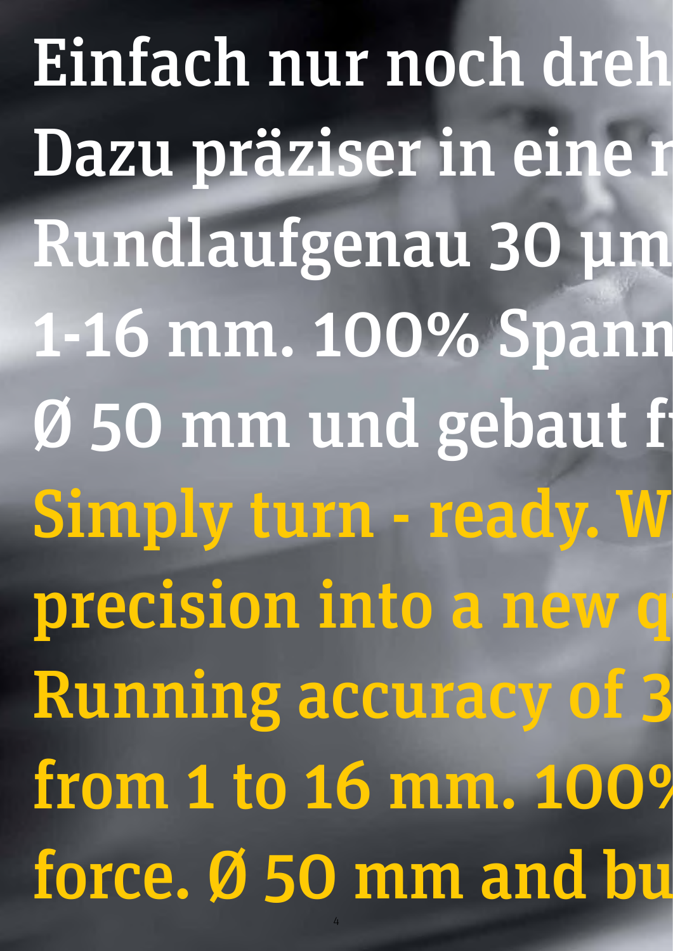Einfach nur noch dreh Dazu präziser in eine r Rundlaufgenau 30 µm 1-16 mm. 100% Spann Ø 50 mm und gebaut f Simply turn - ready. W precision into a new q Running accuracy of 3 from 1 to 16 mm. 100% force. Ø 50 mm and bu

4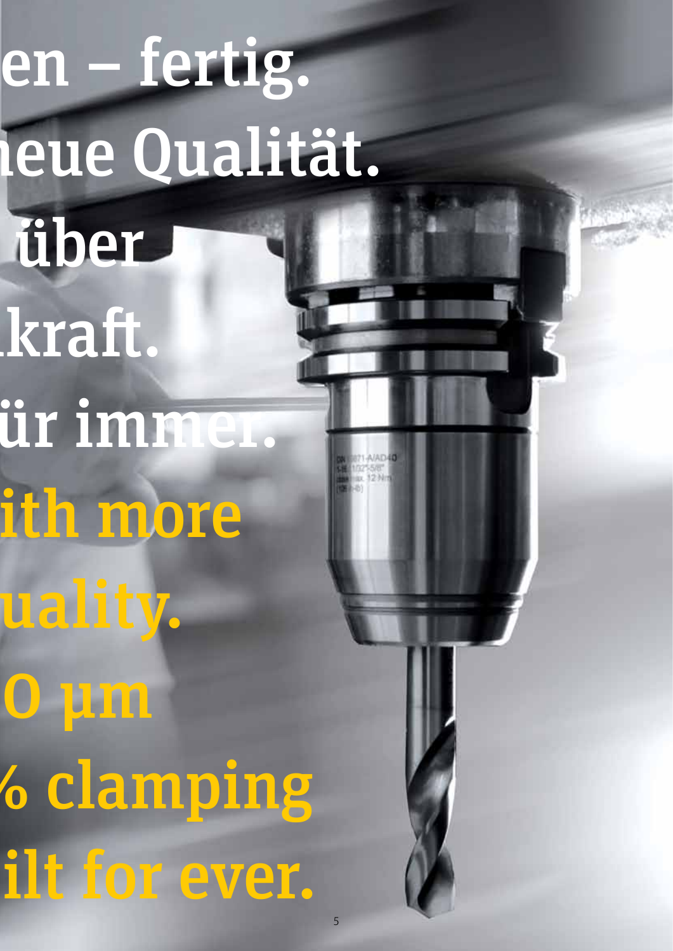en – fertig. leue Qualität. dber kraft. ür immer. ith more uality. O um **6 clamping** ilt for ever.

5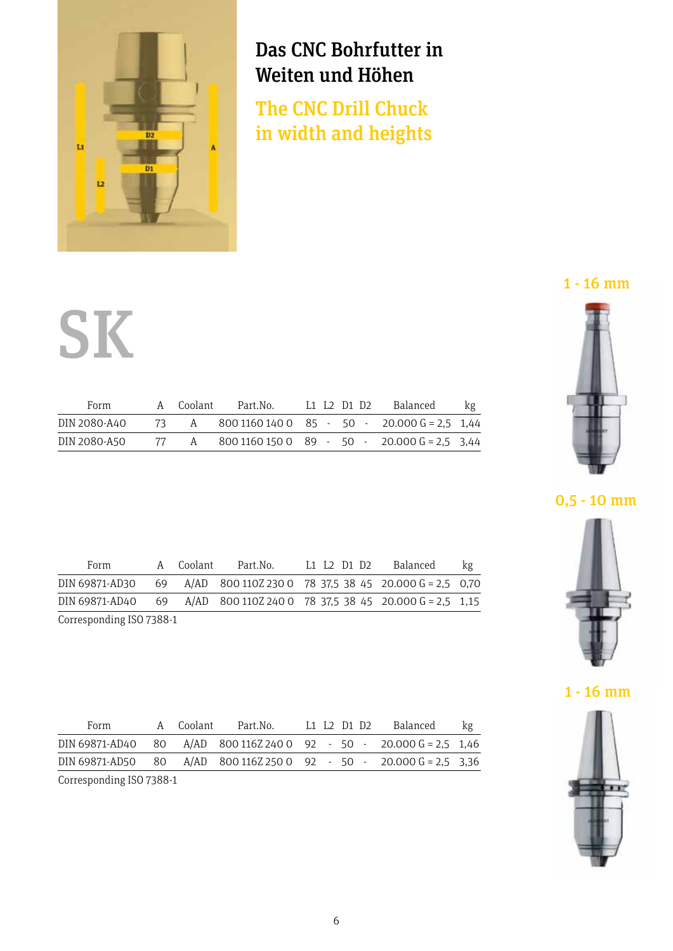

# Das CNC Bohrfutter in Weiten und Höhen

The CNC Drill Chuck in width and heights  $m_{\text{tot}}$  and  $m_{\text{eff}}$  also in width and heights

# SK SK COOLANT PART. SK

| Form         | A Coolant | Part.No.                                          |  | L1 L2 D1 D2 Balanced | kg |
|--------------|-----------|---------------------------------------------------|--|----------------------|----|
| DIN 2080-A40 |           | 73 A 800 1160 140 0 85 - 50 - 20.000 G = 2,5 1,44 |  |                      |    |
| DIN 2080-A50 |           | 77 A 800 1160 150 0 89 - 50 - 20.000 G = 2.5 3.44 |  |                      |    |

| Form                                                                    | A Coolant | Part.No. | L1 L2 D1 D2 Balanced | kg |
|-------------------------------------------------------------------------|-----------|----------|----------------------|----|
| DIN 69871-AD30 69 A/AD 800 110Z 230 0 78 37,5 38 45 20.000 G = 2,5 0,70 |           |          |                      |    |
| DIN 69871-AD40 69 A/AD 800 110Z 240 0 78 37.5 38 45 20.000 G = 2,5 1,15 |           |          |                      |    |
| Corresponding ISO 7388-1                                                |           |          |                      |    |

| Form                                                                |  | A Coolant Part.No.     L1 L2 D1 D2    Balanced |  |  | kg |
|---------------------------------------------------------------------|--|------------------------------------------------|--|--|----|
| DIN 69871-AD40 80 A/AD 800 116Z 240 0 92 - 50 - 20.000 G = 2,5 1,46 |  |                                                |  |  |    |
| DIN 69871-AD50 80 A/AD 800 116Z 250 0 92 - 50 - 20.000 G = 2,5 3,36 |  |                                                |  |  |    |
| Corresponding ISO 7388-1                                            |  |                                                |  |  |    |

## 1 - 16 mm







1 - 16 mm

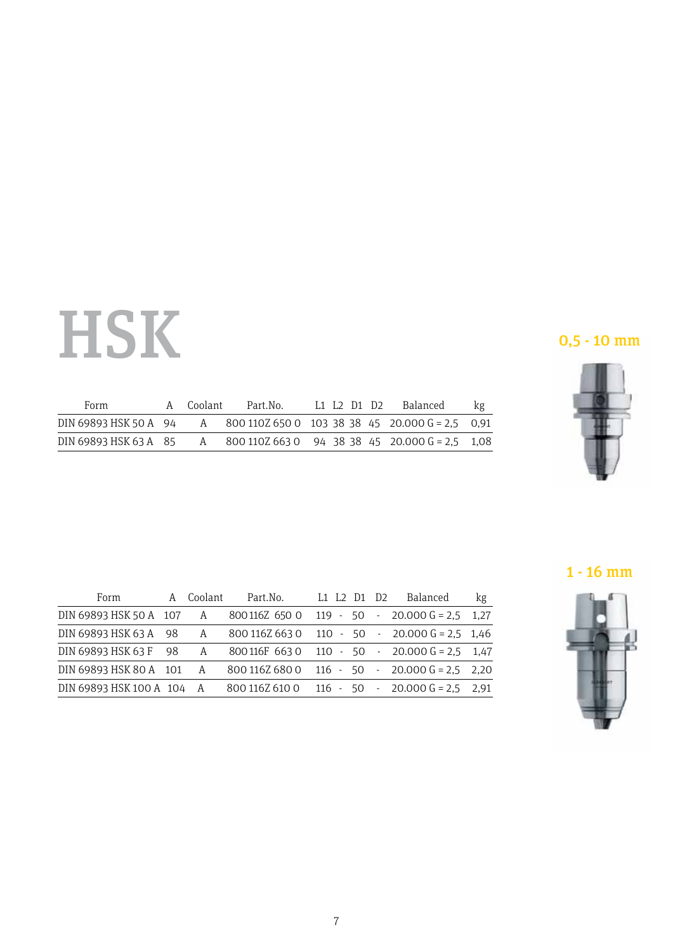# HSK 32 E 50 S  $\blacksquare$  DIN 69893 HSK 40 E 50  $\blacksquare$ DIN 69893 HSK 40 A 50 - 320 1015 641 0 - - 20 40.000 G = 2,5 0,25 446,60

| Form                                                                    | A Coolant | Part.No. |  | L1 L2 D1 D2 Balanced | kg |
|-------------------------------------------------------------------------|-----------|----------|--|----------------------|----|
| DIN 69893 HSK 50 A 94 A 800 110Z 650 0 103 38 38 45 20.000 G = 2,5 0,91 |           |          |  |                      |    |
| DIN 69893 HSK 63 A 85 A 800 110Z 663 0 94 38 38 45 20.000 G = 2,5 1,08  |           |          |  |                      |    |

0,5 - 10 mm



## 1 - 16 mm

| $\overline{\phantom{a}}$                              | ٠<br>×<br>٠<br>٠<br>٠<br>'n |   |  |
|-------------------------------------------------------|-----------------------------|---|--|
| e po<br>$\overline{\phantom{a}}$<br>W.<br>٠<br>è<br>= | m                           |   |  |
| ٠<br>٠                                                | ٠<br>--                     |   |  |
| ÷<br>ń.<br>ч                                          |                             | n |  |

| Form                                                                    | A Coolant |  |  | kg |
|-------------------------------------------------------------------------|-----------|--|--|----|
| DIN 69893 HSK 50 A 107 A 800116Z 650 0 119 - 50 - 20.000 G = 2,5 1,27   |           |  |  |    |
| DIN 69893 HSK 63 A 98 A 800 116Z 663 0 110 - 50 - 20.000 G = 2,5 1,46   |           |  |  |    |
| DIN 69893 HSK 63 F 98 A 800 116F 663 0 110 - 50 - 20.000 G = 2.5 1.47   |           |  |  |    |
| DIN 69893 HSK 80 A 101 A 800 116Z 680 0 116 - 50 - 20.000 G = 2,5 2,20  |           |  |  |    |
| DIN 69893 HSK 100 A 104 A 800 116Z 610 0 116 - 50 - 20.000 G = 2.5 2.91 |           |  |  |    |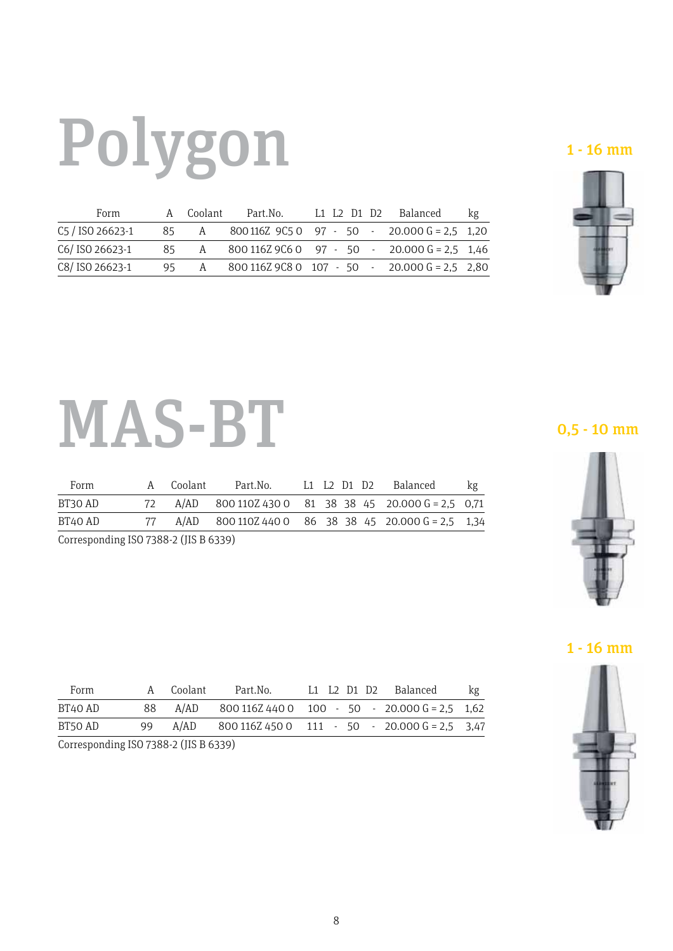# Polygon

| Form             | A Coolant | Part.No.           L1   L2   D1   D2       Balanced |  |  | kg |
|------------------|-----------|-----------------------------------------------------|--|--|----|
| C5 / ISO 26623-1 |           | 85 A 800 116Z 9C5 0 97 - 50 - 20.000 G = 2,5 1,20   |  |  |    |
| C6/ISO 26623-1   |           | 85 A 800 116Z 9C6 0 97 - 50 - 20.000 G = 2,5 1,46   |  |  |    |
| C8/ISO 26623-1   |           | 95 A 800 116Z 9C8 0 107 - 50 - 20.000 G = 2,5 2,80  |  |  |    |
|                  |           |                                                     |  |  |    |





#### MAS-BT  $B_{\rm 2}$  and  $B_{\rm 2}$  are  $2,30$  and  $2,30$  and  $2,5$  and  $2,5$   $3,7$   $3,8$   $3,7$   $3,7$   $3,7$   $3,7$   $3,7$   $3,7$   $3,7$   $3,7$   $3,7$   $3,7$   $3,7$   $3,7$   $3,7$   $3,7$   $3,7$   $3,7$   $3,7$   $3,7$   $3,7$   $3,7$   $3,7$   $3,7$   $3,7$   $3,7$  $\bf{101}$   $\bf{110}$   $\bf{111}$ corresponding ISO 7388-2 (JIS B 6339) Product group 80 MAS-BT C8/ ISO 26623-1 95 A 800 116Z 9C8 0 107 - 50 - 20.000 G = 2,5 2,80 524,90

| Form                                  | A Coolant |                                                          |  |  | kg |
|---------------------------------------|-----------|----------------------------------------------------------|--|--|----|
| BT30 AD                               |           | 72 A/AD 800 110Z 430 0 81 38 38 45 20.000 G = 2,5 0,71   |  |  |    |
| BT40 AD                               |           | $77$ A/AD 800 110Z 440 0 86 38 38 45 20.000 G = 2,5 1,34 |  |  |    |
| Corresponding ISO 7388-2 (JIS B 6339) |           |                                                          |  |  |    |

 $\mathcal{A}$  and  $\mathcal{A}$  adds  $\mathcal{A}$  and  $\mathcal{A}$  and  $\mathcal{A}$  are 2,5 1,34  $38$  38  $38$  38  $38$  38  $38$  38  $38$  38  $38$  38  $38$  38  $38$  38  $38$  38  $38$  38  $38$  38  $38$  38  $38$  38  $38$  38  $38$  38  $38$  38  $38$  38  $38$  38  $3$ 

| Form                                  |    | A Coolant | Part.No.                                                     | L1    L2    D1    D2    Balanced | kg |
|---------------------------------------|----|-----------|--------------------------------------------------------------|----------------------------------|----|
| BT40 AD                               |    | 88 A/AD   | $800116Z4400$ $100 - 50 - 20.000 G = 2.5$ $1.62$             |                                  |    |
| BT50 AD                               | 99 |           | A/AD  800 116Z  450  0  111  -  50  -  20.000  G = 2,5  3,47 |                                  |    |
| Corresponding ISO 7388-2 (JIS B 6339) |    |           |                                                              |                                  |    |

0,5 - 10 mm



### 1 - 16 mm

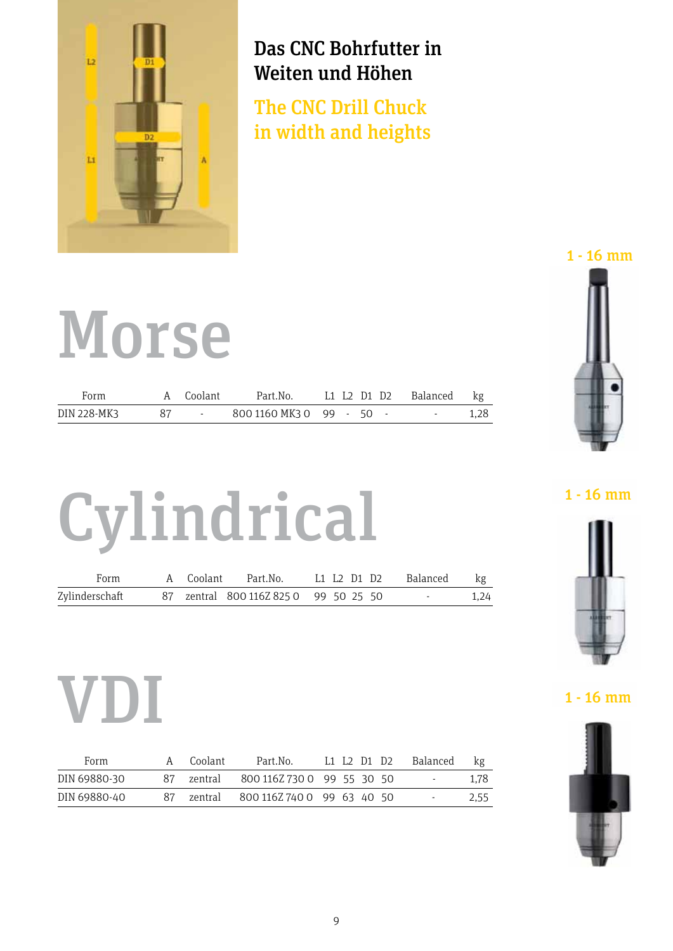

# Das CNC Bohrfutter in Weiten und Höhen

The CNC Drill Chuck  $m<sub>1</sub>$  and  $m<sub>1</sub>$  und Höhenn Höhenn  $m<sub>2</sub>$ in width and heights

#### Form A Coolant Part.No. L1 L2 D1 D2 Balanced kg €  $\mathbf{D}$  -  $\mathbf{D}$  -  $\mathbf{D}$  -  $\mathbf{D}$  -  $\mathbf{D}$  -  $\mathbf{D}$  -  $\mathbf{D}$  -  $\mathbf{D}$  -  $\mathbf{D}$  -  $\mathbf{D}$  -  $\mathbf{D}$  -  $\mathbf{D}$  -  $\mathbf{D}$  -  $\mathbf{D}$  -  $\mathbf{D}$  -  $\mathbf{D}$  -  $\mathbf{D}$  -  $\mathbf{D}$  -  $\mathbf{D}$  -  $\mathbf{D}$  -  $\mathbf{N}$   $\mathbf{A}$   $\mathbf{A}$   $\mathbf{A}$   $\mathbf{A}$   $\mathbf{A}$ DIN 228-MK3 87 - 800 1160 MK3 0 99 - 50 - - 1,28 310,00  $\mathbf{F}$   $\mathbf{F}$   $\mathbf{F}$   $\mathbf{F}$   $\mathbf{F}$   $\mathbf{F}$   $\mathbf{F}$   $\mathbf{F}$   $\mathbf{F}$   $\mathbf{F}$   $\mathbf{F}$   $\mathbf{F}$   $\mathbf{F}$   $\mathbf{F}$   $\mathbf{F}$   $\mathbf{F}$   $\mathbf{F}$   $\mathbf{F}$   $\mathbf{F}$   $\mathbf{F}$   $\mathbf{F}$   $\mathbf{F}$   $\mathbf{F}$   $\mathbf{F}$   $\mathbf{$  $\blacksquare$  Form A Coolant Part.No. L1 L2 D1 D2 Balanced kg € DIN 6535 HA - - 320 1015 810 0 36 42 10 20 - 0,14 280,20 Form A Coolant Part.No. L1 L2 D1 D2 Balanced kg € DIN 6535 HA - - 320 1015 810 0 36 42 10 20 - 0,14 280,20 Cylindrical Form A Coolant Part.No. L1 L2 D1 D2 Balanced kg €

| Form        | A Coolant | Part.No. L1 L2 D1 D2 Balanced kg |  |  |  |
|-------------|-----------|----------------------------------|--|--|--|
| DIN 228-MK3 | 87 -      | 800 1160 MK3 0 99 - 50 - 1.28    |  |  |  |

# Form A Coolant Partnership Partnership Partnership Partnership Partnership Partnership Partnership Partnership  $\mathbf{U}$  ,  $\mathbf{V}$  is a substituting the state  $\mathbf{V}$ Cylindrical 1-16 mm Form A Coolant Part.No. L1<br>
MIX 228-MIS 87 - 8001160 MK3 0 99<br>
Sylinderschaft 87 zentral 800 1162 825 0 99 5<br>
NET COOLANT Part.No. 11 L<sub>2</sub><br>
MIX 69880-30 87 zentral 800 1162 730 0 99<br>
MIX 69880-40 87 zentral 800 1162 730 0 Form A Coolant Part.No. L1 L2 D1 D2 Balanced kg € DIN 6535 HA - 320 1015 BA - 320 1015 810 1015 810 1015 810 1015 810 1015 810 1015 810 1015 810 1015 810,200,20

| 87 zentral 800 116Z 825 0 99 50 25 50<br>1.24<br>and the state of the state | Form           |  | A Coolant Part.No. |  |  | L1    L2    D1    D2    Balanced | kg |
|-----------------------------------------------------------------------------|----------------|--|--------------------|--|--|----------------------------------|----|
|                                                                             | Zylinderschaft |  |                    |  |  |                                  |    |

# 1 - 16 mm 1 - 16 mm VDI 1 - 16 mm 1 - 16 mm

| Form         | A  | Coolant | Part.No.                              |  | L1 L2 D1 D2 | Balanced | kg   |
|--------------|----|---------|---------------------------------------|--|-------------|----------|------|
| DIN 69880-30 |    |         | 87 zentral 800 116Z 730 0 99 55 30 50 |  |             | $\sim$   | 1.78 |
| DIN 69880-40 | 87 |         | zentral 800 116Z 740 0 99 63 40 50    |  |             | $\sim$   | 2.55 |

1 - 16 mm 1 - 16 mm 1 - 16 mm



 $1 - 16$  mm  $\blacksquare$   $\blacksquare$   $\blacksquare$   $\blacksquare$   $\blacksquare$   $\blacksquare$   $\blacksquare$   $\blacksquare$   $\blacksquare$   $\blacksquare$   $\blacksquare$   $\blacksquare$   $\blacksquare$   $\blacksquare$   $\blacksquare$   $\blacksquare$   $\blacksquare$   $\blacksquare$   $\blacksquare$   $\blacksquare$   $\blacksquare$   $\blacksquare$   $\blacksquare$   $\blacksquare$   $\blacksquare$   $\blacksquare$   $\blacksquare$   $\blacksquare$   $\blacksquare$   $\blacksquare$   $\blacksquare$   $\blacks$  $\sim$  1  $\cdot$  10 mm



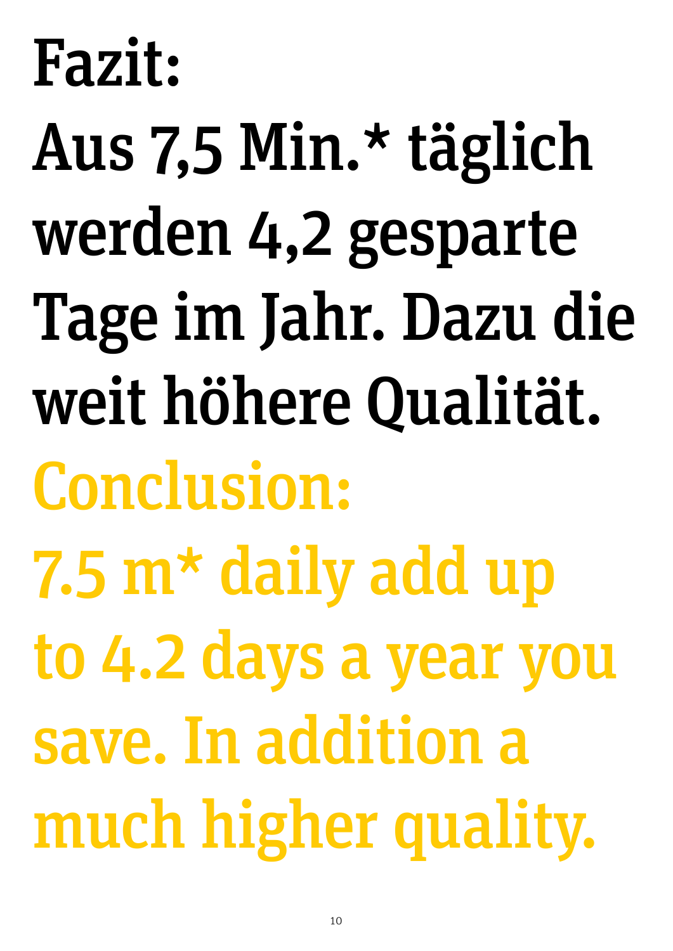# Fazit:

Aus 7,5 Min.\* täglich werden 4,2 gesparte Tage im Jahr. Dazu die weit höhere Qualität. Conclusion: 7.5 m\* daily add up to 4.2 days a year you save. In addition a much higher quality.